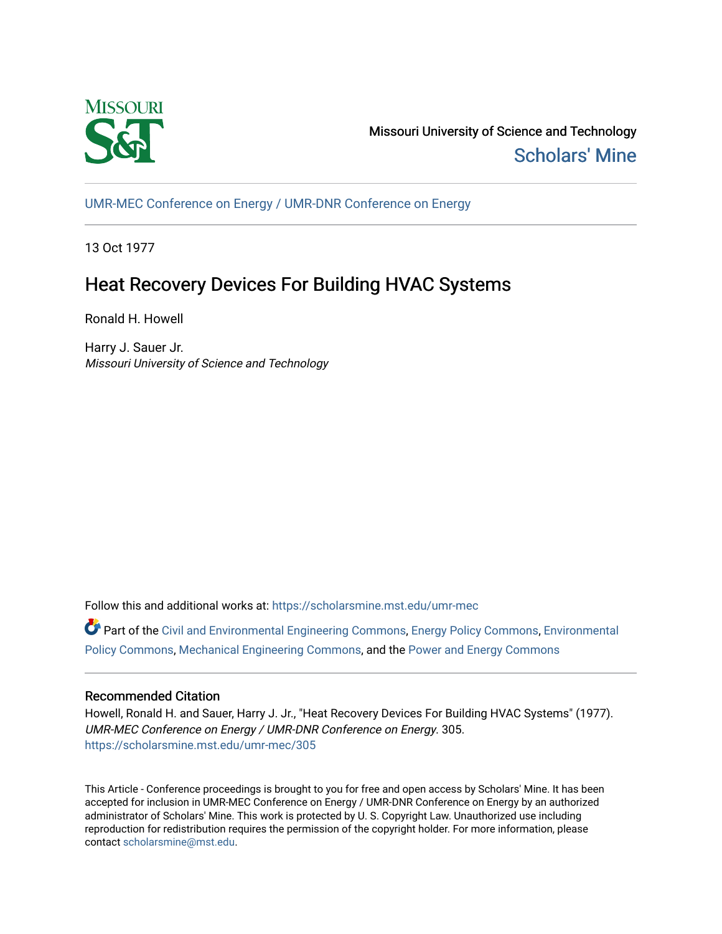

Missouri University of Science and Technology [Scholars' Mine](https://scholarsmine.mst.edu/) 

[UMR-MEC Conference on Energy / UMR-DNR Conference on Energy](https://scholarsmine.mst.edu/umr-mec)

13 Oct 1977

# Heat Recovery Devices For Building HVAC Systems

Ronald H. Howell

Harry J. Sauer Jr. Missouri University of Science and Technology

Follow this and additional works at: [https://scholarsmine.mst.edu/umr-mec](https://scholarsmine.mst.edu/umr-mec?utm_source=scholarsmine.mst.edu%2Fumr-mec%2F305&utm_medium=PDF&utm_campaign=PDFCoverPages) 

Part of the [Civil and Environmental Engineering Commons](http://network.bepress.com/hgg/discipline/251?utm_source=scholarsmine.mst.edu%2Fumr-mec%2F305&utm_medium=PDF&utm_campaign=PDFCoverPages), [Energy Policy Commons,](http://network.bepress.com/hgg/discipline/1065?utm_source=scholarsmine.mst.edu%2Fumr-mec%2F305&utm_medium=PDF&utm_campaign=PDFCoverPages) [Environmental](http://network.bepress.com/hgg/discipline/1027?utm_source=scholarsmine.mst.edu%2Fumr-mec%2F305&utm_medium=PDF&utm_campaign=PDFCoverPages)  [Policy Commons](http://network.bepress.com/hgg/discipline/1027?utm_source=scholarsmine.mst.edu%2Fumr-mec%2F305&utm_medium=PDF&utm_campaign=PDFCoverPages), [Mechanical Engineering Commons](http://network.bepress.com/hgg/discipline/293?utm_source=scholarsmine.mst.edu%2Fumr-mec%2F305&utm_medium=PDF&utm_campaign=PDFCoverPages), and the [Power and Energy Commons](http://network.bepress.com/hgg/discipline/274?utm_source=scholarsmine.mst.edu%2Fumr-mec%2F305&utm_medium=PDF&utm_campaign=PDFCoverPages) 

## Recommended Citation

Howell, Ronald H. and Sauer, Harry J. Jr., "Heat Recovery Devices For Building HVAC Systems" (1977). UMR-MEC Conference on Energy / UMR-DNR Conference on Energy. 305. [https://scholarsmine.mst.edu/umr-mec/305](https://scholarsmine.mst.edu/umr-mec/305?utm_source=scholarsmine.mst.edu%2Fumr-mec%2F305&utm_medium=PDF&utm_campaign=PDFCoverPages) 

This Article - Conference proceedings is brought to you for free and open access by Scholars' Mine. It has been accepted for inclusion in UMR-MEC Conference on Energy / UMR-DNR Conference on Energy by an authorized administrator of Scholars' Mine. This work is protected by U. S. Copyright Law. Unauthorized use including reproduction for redistribution requires the permission of the copyright holder. For more information, please contact [scholarsmine@mst.edu](mailto:scholarsmine@mst.edu).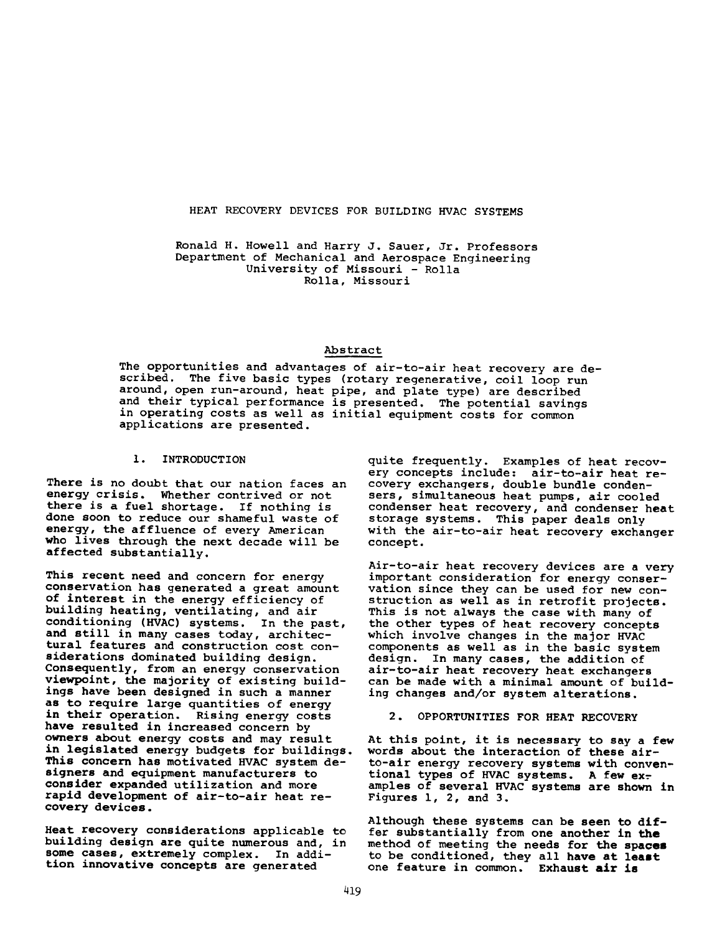#### HEAT RECOVERY DEVICES FOR BUILDING HVAC SYSTEMS

Ronald H. Howell and Harry J. Sauer, Jr. Professors Department of Mechanical and Aerospace Engineering University of Missouri - Rolla Rolla, Missouri

## Abstract

The opportunities and advantages of air-to-air heat recovery are described. The five basic types (rotary regenerative, coil loop run around, open run-around, heat pipe, and plate type) are described and their typical performance is presented. The potential savings in operating costs as well as initial equipment costs for common applications are presented.

## 1. INTRODUCTION

There is no doubt that our nation faces an energy crisis. Whether contrived or not there is a fuel shortage. If nothing is done soon to reduce our shameful waste of energy, the affluence of every American who lives through the next decade will be affected substantially.

This recent need and concern for energy conservation has generated a great amount of interest in the energy efficiency of building heating, ventilating, and air conditioning (HVAC) systems. In the past, and still in many cases today, architectural features and construction cost considerations dominated building design. Consequently, from an energy conservation viewpoint, the majority of existing buildings have been designed in such a manner as to require large quantities of energy in their operation. Rising energy costs have resulted in increased concern by owners about energy costs and may result in legislated energy budgets for buildings. This concern has motivated HVAC system designers and equipment manufacturers to consider expanded utilization and more rapid development of air-to-air heat recovery devices.

Heat recovery considerations applicable to building design are quite numerous and, in some cases, extremely complex. In addition innovative concepts are generated

quite frequently. Examples of heat recovery concepts include: air-to-air heat recovery exchangers, double bundle condensers, simultaneous heat pumps, air cooled condenser heat recovery, and condenser heat storage systems. This paper deals only with the air-to-air heat recovery exchanger concept.

Air-to-air heat recovery devices are a very important consideration for energy conservation since they can be used for new construction as well as in retrofit projects. This is not always the case with many of the other types of heat recovery concepts which involve changes in the major HVAC components as well as in the basic system design. In many cases, the addition of air-to-air heat recovery heat exchangers can be made with a minimal amount of building changes and/or system alterations.

2. OPPORTUNITIES FOR HEAT RECOVERY

At this point, it is necessary to say a few words about the interaction of these airto-air energy recovery systems with conventional types of HVAC systems. A few examples of several HVAC systems are shown in Figures 1, 2, and 3.

Although these systems can be seen to **dif**fer substantially from one another in **the** method of meeting the needs for the **spaces** to be conditioned, they all have at **least** one feature in common. Exhaust **air is**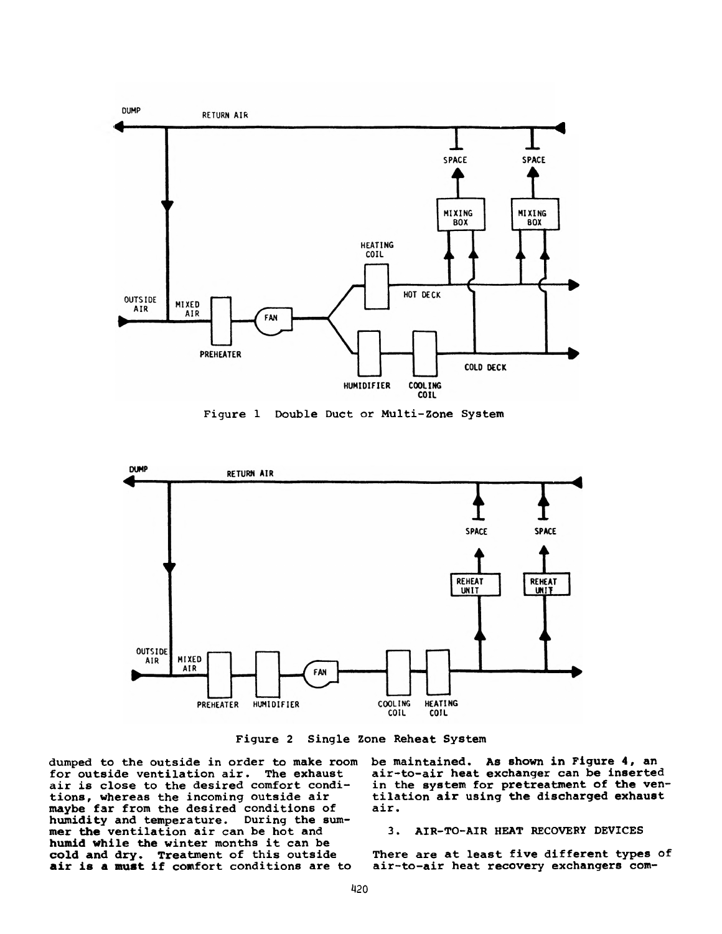

Figure 1 Double Duct or Multi-Zone System



Figure 2 Single Zone Reheat System

dumped to the outside in order to make room be maintained. As shown in Figure 4, an for outside ventilation air. The exhaust air is close to the desired comfort conditions, whereas the incoming outside air maybe far from the desired conditions of humidity and temperature. During the summer **the** ventilation air can be hot and **humid** while the winter months it can be **cold and dry.** Treatment of this outside **air is a must if** comfort conditions are to

air-to-air heat exchanger can be inserted in the system for pretreatment of the ventilation air using the discharged exhaust air.

## 3. AIR-TO-AIR HEAT RECOVERY DEVICES

There are at least five different types of air-to-air heat recovery exchangers com-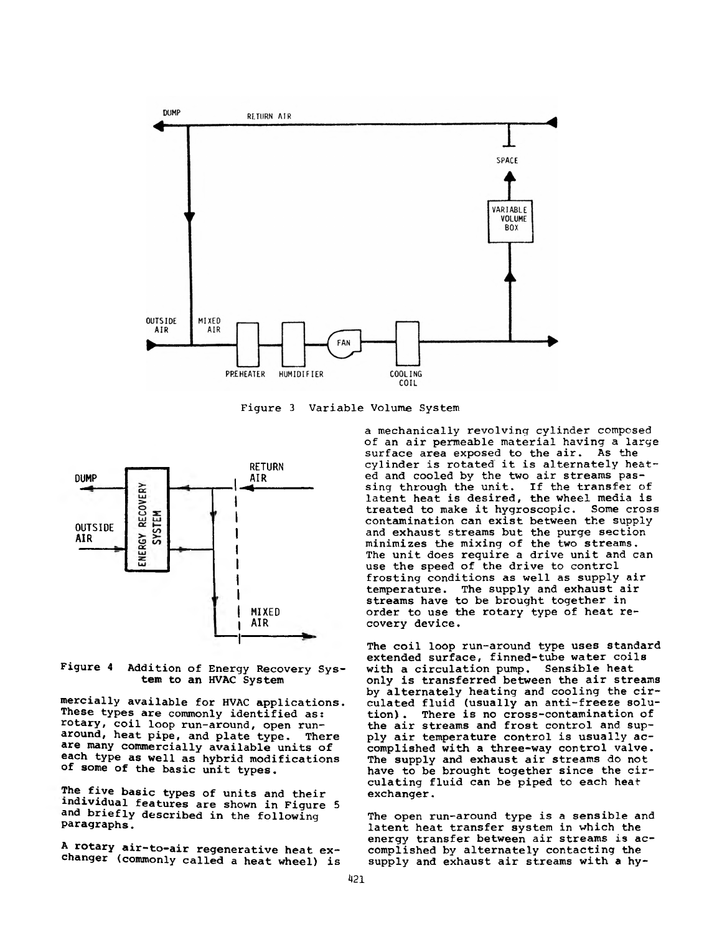

Figure 3 Variable Volume System



Figure 4 Addition of Energy Recovery System to an HVAC System

mercially available for HVAC applications. These types are commonly identified as: rotary, coil loop run-around, open runaround, heat pipe, and plate type. There are many commercially available units of each type as well as hybrid modifications of some of the basic unit types.

The five basic types of units and their individual features are shown in Figure 5 and briefly described in the following paragraphs.

A rotary air-to-air regenerative heat exchanger (commonly called a heat wheel) is a mechanically revolving cylinder composed of an air permeable material having a large surface area exposed to the air. As the cylinder is rotated it is alternately heated and cooled by the two air streams passing through the unit. If the transfer of latent heat is desired, the wheel media is treated to make it hygroscopic. Some cross contamination can exist between the supply and exhaust streams but the purge section minimizes the mixing of the two streams. The unit does require a drive unit and can use the speed of the drive to control frosting conditions as well as supply air<br>temperature. The supply and exhaust air The supply and exhaust air streams have to be brought together in order to use the rotary type of heat recovery device.

The coil loop run-around type uses standard extended surface, finned-tube water coils with a circulation pump. Sensible heat only is transferred between the air streams by alternately heating and cooling the circulated fluid (usually an anti-freeze solution) . There is no cross-contamination of the air streams and frost control and supply air temperature control is usually accomplished with a three-way control valve. The supply and exhaust air streams do not have to be brought together since the circulating fluid can be piped to each heat exchanger.

The open run-around type is a sensible and latent heat transfer system in which the energy transfer between air streams is accomplished by alternately contacting the supply and exhaust air streams with a hy-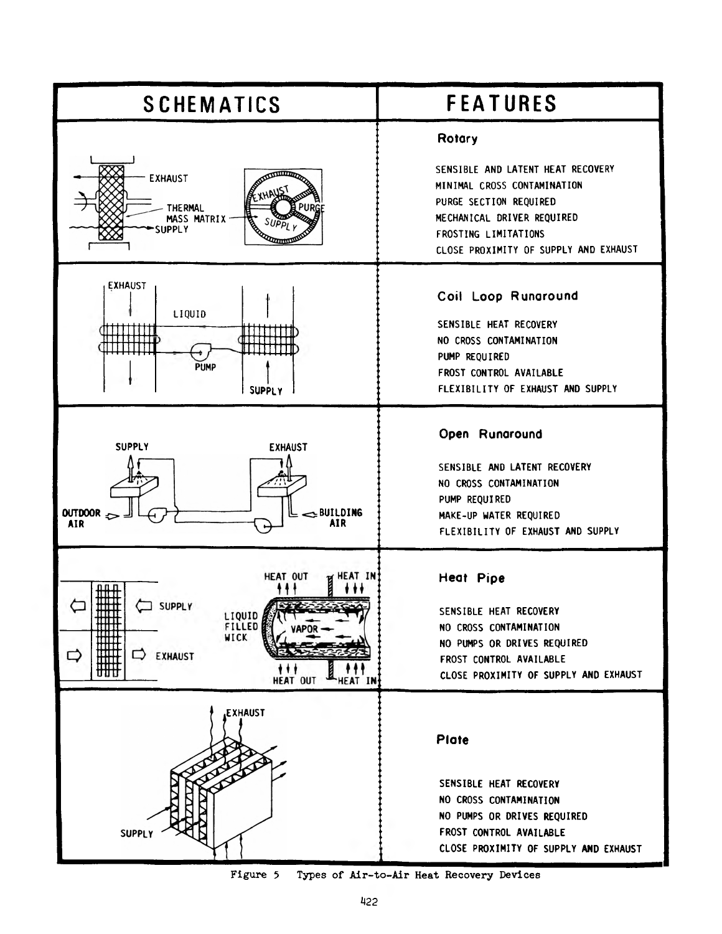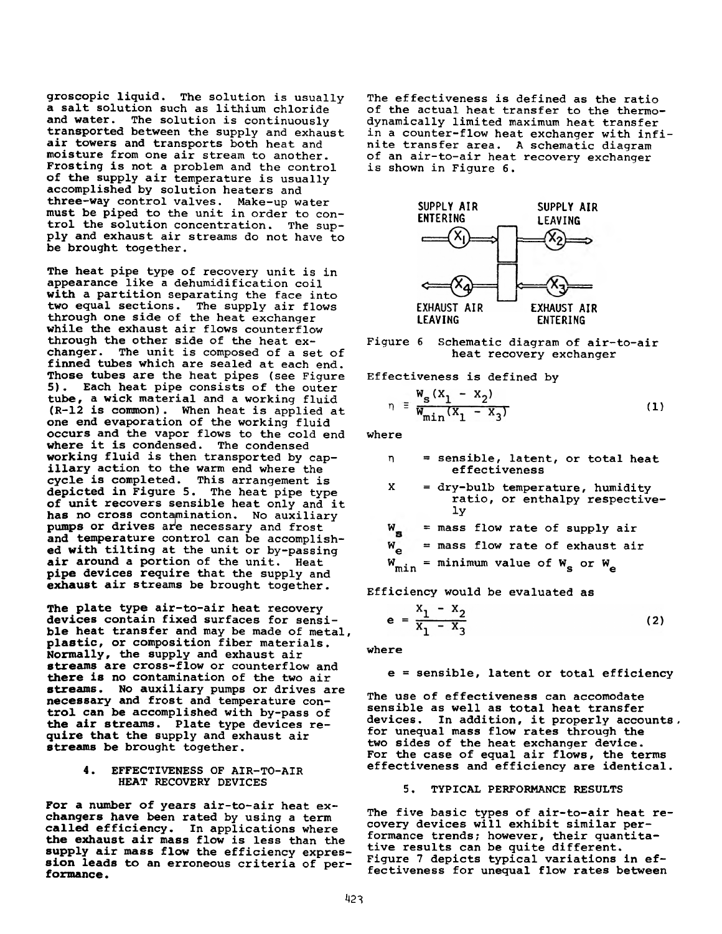groscopic liquid. The solution is usually a salt solution such as lithium chloride The solution is continuously transported between the supply and exhaust air towers and transports both heat and moisture from one air stream to another. Frosting is not a problem and the control of the supply air temperature is usually accomplished by solution heaters and three-way control valves. Make-up water must be piped to the unit in order to control the solution concentration. The supply and exhaust air streams do not have to be brought together.

The heat pipe type of recovery unit is in appearance like a dehumidification coil with a partition separating the face into two equal sections. The supply air flows through one side of the heat exchanger while the exhaust air flows counterflow through the other side of the heat exchanger. The unit is composed of a set of finned tubes which are sealed at each end. Those tubes are the heat pipes (see Figure 5). Each heat pipe consists of the outer tube, a wick material and a working fluid (R-12 is common). When heat is applied at one end evaporation of the working fluid occurs and the vapor flows to the cold end where it is condensed. The condensed working fluid is then transported by capillary action to the warm end where the cycle is completed. This arrangement is depicted in Figure 5. The heat pipe type of unit recovers sensible heat only and it has no cross contamination. No auxiliary pumps or drives are necessary and frost and temperature control can be accomplished with tilting at the unit or by-passing<br>air around a portion of the unit. Heat air around a portion of the unit. pipe devices require that the supply and exhaust air streams be brought together.

The plate type air-to-air heat recovery devices contain fixed surfaces for sensible heat transfer and may be made of metal, plastic, or composition fiber materials. Normally, the supply and exhaust air streams are cross-flow or counterflow and there is no contamination of the two air streams. No auxiliary pumps or drives are necessary and frost and temperature control can be accomplished with by-pass of the air streams. Plate type devices require that the supply and exhaust air streams be brought together.

> 4. EFFECTIVENESS OF AIR-TO-AIR HEAT RECOVERY DEVICES

For a number of years air-to-air heat exchangers have been rated by using a term called efficiency. In applications where the exhaust air mass flow is less than the supply air mass flow the efficiency expression leads to an erroneous criteria of performance .

The effectiveness is defined as the ratio of the actual heat transfer to the thermodynamically limited maximum heat transfer in a counter-flow heat exchanger with infinite transfer area. A schematic diagram of an air-to-air heat recovery exchanger is shown in Figure 6.



Figure 6 Schematic diagram of air-to-air heat recovery exchanger

Effectiveness is defined by

$$
\eta = \frac{W_{s}(X_1 - X_2)}{W_{\min}(X_1 - X_3)}
$$
(1)

where

- n = sensible, latent, or total heat effectiveness
- $X = dry$ -bulb temperature, humidity ratio, or enthalpy respectively
- $W_{\rm g}$  = mass flow rate of supply air
- $W_{\alpha}$  = mass flow rate of exhaust air

$$
W_{min} = \text{minimum value of } W_{s} \text{ or } W_{e}
$$

Efficiency would be evaluated as

$$
e = \frac{x_1 - x_2}{x_1 - x_3}
$$
 (2)

where

## e = sensible, latent or total efficiency

The use of effectiveness can accomodate sensible as well as total heat transfer devices. In addition, it properly accounts , for unequal mass flow rates through the two sides of the heat exchanger device. For the case of equal air flows, the terms effectiveness and efficiency are identical.

## 5. TYPICAL PERFORMANCE RESULTS

The five basic types of air-to-air heat recovery devices will exhibit similar performance trends; however, their quantitative results can be quite different. Figure 7 depicts typical variations in effectiveness for unequal flow rates between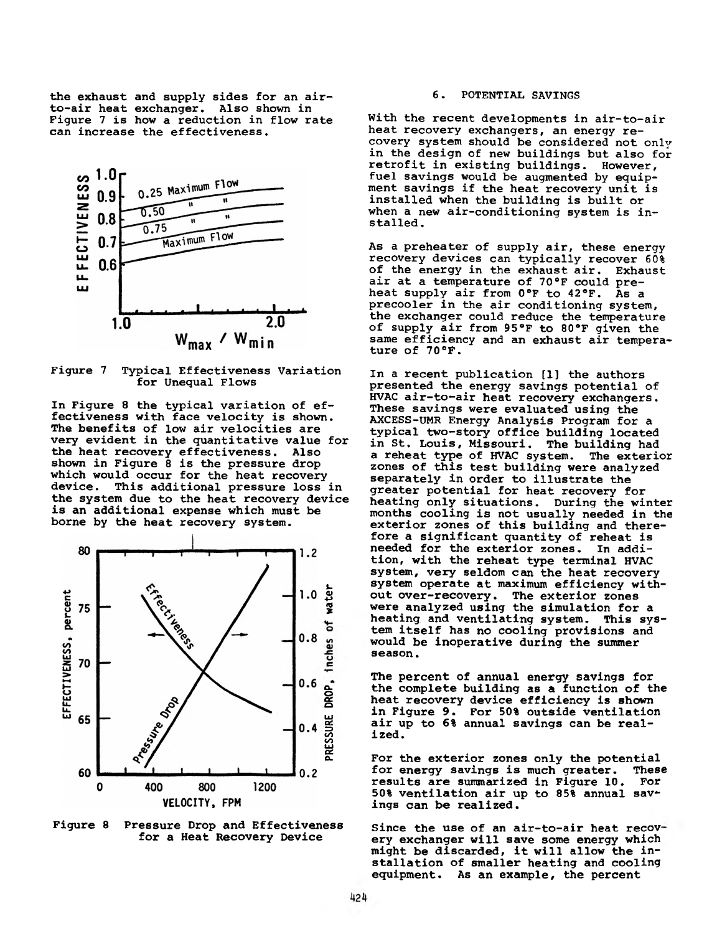the exhaust and supply sides for an airto-air heat exchanger. Also shown in Figure 7 is how a reduction in flow rate can increase the effectiveness.



Figure 7 Typical Effectiveness Variation for Unequal Flows

In Figure 8 the typical variation of effectiveness with face velocity is shown. The benefits of low air velocities are very evident in the quantitative value for the heat recovery effectiveness. Also shown in Figure 8 is the pressure drop which would occur for the heat recovery<br>device. This additional pressure loss This additional pressure loss in the system due to the heat recovery device is an additional expense which must be borne by the heat recovery system.



Figure 8 Pressure Drop and Effectiveness for a Heat Recovery Device

## 6. POTENTIAL SAVINGS

With the recent developments in air-to-air heat recovery exchangers, an energy recovery system should be considered not only in the design of new buildings but also for retrofit in existing buildings. However, fuel savings would be augmented by equipment savings if the heat recovery unit is installed when the building is built or when a new air-conditioning system is installed.

As a preheater of supply air, these energy recovery devices can typically recover 60%<br>of the energy in the exhaust air. Exhaust of the energy in the exhaust air. air at a temperature of 70°F could preheat supply air from 0°F to 42°F. As a precooler in the air conditioning system, the exchanger could reduce the temperature of supply air from 95°F to 80 °F given the same efficiency and an exhaust air temperature of 70°F.

In a recent publication [1] the authors presented the energy savings potential of HVAC air-to-air heat recovery exchangers. These savings were evaluated using the AXCESS-UMR Energy Analysis Program for a typical two-story office building located in St. Louis, Missouri. The building had a reheat type of HVAC system. The exterior zones of this test building were analyzed separately in order to illustrate the greater potential for heat recovery for heating only situations. During the winter months cooling is not usually needed in the exterior zones of this building and therefore a significant quantity of reheat is needed for the exterior zones. In addition, with the reheat type terminal HVAC system, very seldom can the heat recovery system operate at maximum efficiency without over-recovery. The exterior zones were analyzed using the simulation for a heating and ventilating system. This system itself has no cooling provisions and would be inoperative during the summer season.

The percent of annual energy savings for the complete building as a function of the heat recovery device efficiency is shown in Figure 9. For 50% outside ventilation air up to 6% annual savings can be realized.

For the exterior zones only the potential for energy savings is much greater. These results are summarized in Figure 10. For 50% ventilation air up to 85% annual sav\* ings can be realized.

Since the use of an air-to-air heat recovery exchanger will save some energy which might be discarded, it will allow the installation of smaller heating and cooling equipment. As an example, the percent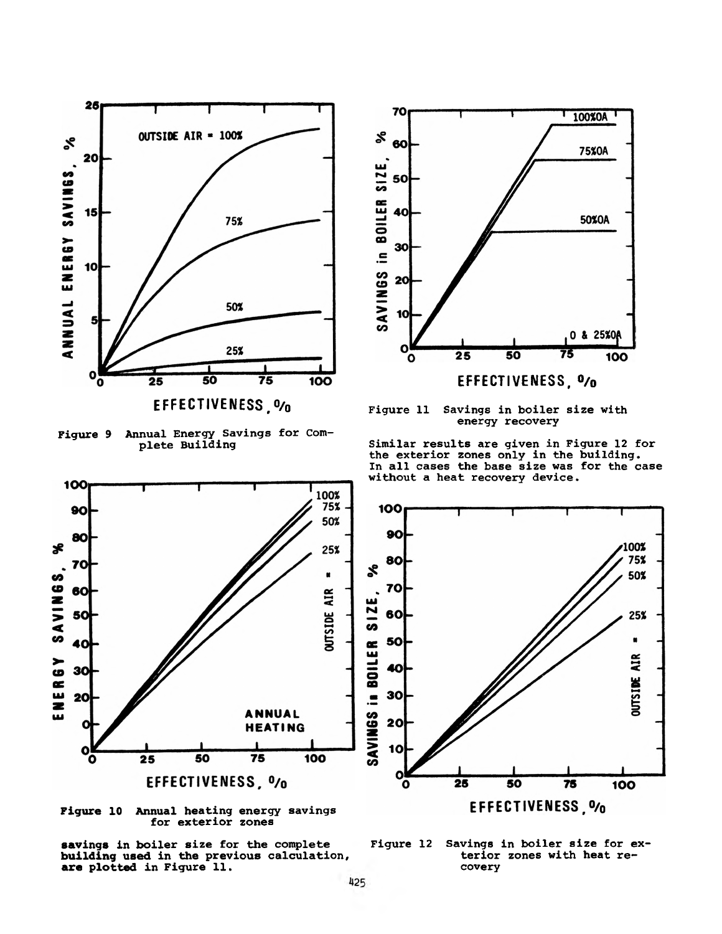

**EFFECTIVENESS,0/0**

Figure 9 Annual Energy Savings for Complete Building

100



Figure 11 Savings in boiler size with energy recovery

Similar results are given in Figure 12 for the exterior zones only in the building. In all cases the base size was for the case without a heat recovery device.



Figure 10 Annual heating energy savings for exterior zones



Figure 12 Savings in boiler size for exterior zones with heat recovery